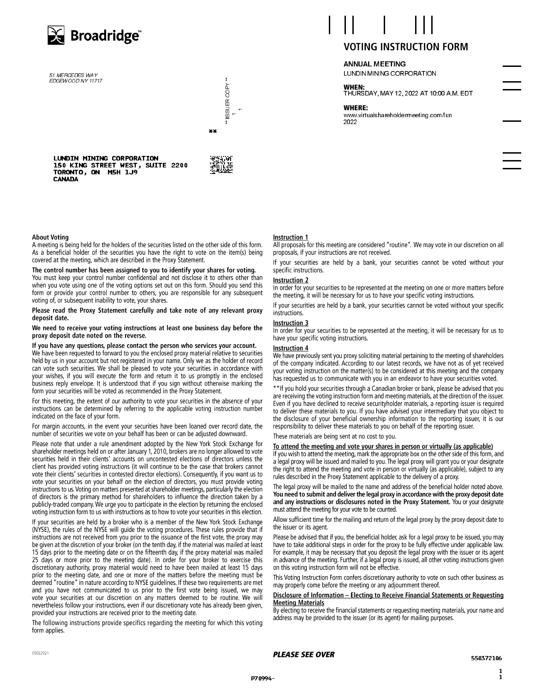

51 MERCEDES WAY<br>EDGEWOOD NY 11717

# ISSUER COPY<sup>\*\*</sup> ХX

## LUNDIN MINING CORPORATION<br>150 KING STREET WEST, SUITE 2200<br>TORONTO, ON M5H 1J9 **CANADA**

#### **About Voting**

A meeting is being held for the holders of the securities listed on the other side of this form. As a beneficial holder of the securities you have the right to vote on the item(s) being covered at the meeting, which are described in the Proxy Statement.

#### The control number has been assigned to you to identify your shares for voting.

You must keep your control number confidential and not disclose it to others other than when you vote using one of the voting options set out on this form. Should you send this form or provide your control number to others, you are responsible for any subsequent voting of, or subsequent inability to vote, your shares.

#### Please read the Proxy Statement carefully and take note of any relevant proxy deposit date.

#### We need to receive your voting instructions at least one business day before the proxy deposit date noted on the reverse.

#### If you have any questions, please contact the person who services your account.

We have been requested to forward to you the enclosed proxy material relative to securities held by us in your account but not registered in your name. Only we as the holder of record can vote such securities. We shall be pleased to vote your securities in accordance with your wishes, if you will execute the form and return it to us promptly in the enclosed business reply envelope. It is understood that if you sign without otherwise marking the form your securities will be voted as recommended in the Proxy Statement.

For this meeting, the extent of our authority to vote your securities in the absence of your instructions can be determined by referring to the applicable voting instruction number indicated on the face of your form.

For margin accounts, in the event your securities have been loaned over record date, the number of securities we vote on your behalf has been or can be adjusted downward.

Please note that under a rule amendment adopted by the New York Stock Exchange for shareholder meetings held on or after January 1, 2010, brokers are no longer allowed to vote securities held in their clients' accounts on uncontested elections of directors unless the client has provided voting instructions (it will continue to be the case that brokers cannot vote their clients' securities in contested director elections). Consequently, if you want us to vote your securities on your behalf on the election of directors, you must provide voting instructions to us. Voting on matters presented at shareholder meetings, particularly the election of directors is the primary method for shareholders to influence the direction taken by a publicly-traded company. We urge you to participate in the election by returning the enclosed voting instruction form to us with instructions as to how to vote your securities in this election.

If your securities are held by a broker who is a member of the New York Stock Exchange (NYSE), the rules of the NYSE will guide the voting procedures. These rules provide that if instructions are not received from you prior to the issuance of the first vote, the proxy may be given at the discretion of your broker (on the tenth day, if the material was mailed at least 15 days prior to the meeting date or on the fifteenth day, if the proxy material was mailed 25 days or more prior to the meeting date). In order for your broker to exercise this discretionary authority, proxy material would need to have been mailed at least 15 days prior to the meeting date, and one or more of the matters before the meeting must be deemed "routine" in nature according to NYSE guidelines. If these two requirements are met and you have not communicated to us prior to the first vote being issued, we may vote your securities at our discretion on any matters deemed to be routine. We will nevertheless follow your instructions, even if our discretionary vote has already been given, provided your instructions are received prior to the meeting date.

The following instructions provide specifics regarding the meeting for which this voting form applies.

# VOTING INSTRUCTION FORM

#### **ANNUAL MEETING**

LUNDIN MINING CORPORATION

WHEN: THURSDAY, MAY 12, 2022 AT 10:00 A.M. EDT

#### **WHERE:**

www.virtualshareholdermeeting.com/lun 2022

#### **Instruction 1**

All proposals for this meeting are considered "routine". We may vote in our discretion on all proposals, if your instructions are not received.

If your securities are held by a bank, your securities cannot be voted without your specific instructions.

#### **Instruction 2**

In order for your securities to be represented at the meeting on one or more matters before the meeting, it will be necessary for us to have your specific voting instructions.

If your securities are held by a bank, your securities cannot be voted without your specific instructions.

#### **Instruction 3**

In order for your securities to be represented at the meeting, it will be necessary for us to have your specific voting instructions.

#### Instruction 4

We have previously sent you proxy soliciting material pertaining to the meeting of shareholders of the company indicated. According to our latest records, we have not as of yet received your voting instruction on the matter(s) to be considered at this meeting and the company has requested us to communicate with you in an endeavor to have your securities voted.

\*\*If you hold your securities through a Canadian broker or bank, please be advised that you are receiving the voting instruction form and meeting materials, at the direction of the issuer. Even if you have declined to receive securityholder materials, a reporting issuer is required to deliver these materials to you. If you have advised your intermediary that you object to the disclosure of your beneficial ownership information to the reporting issuer, it is our responsibility to deliver these materials to you on behalf of the reporting issuer.

These materials are being sent at no cost to you.

#### To attend the meeting and vote your shares in person or virtually (as applicable)

If you wish to attend the meeting, mark the appropriate box on the other side of this form, and a legal proxy will be issued and mailed to you. The legal proxy will grant you or your designate the right to attend the meeting and vote in person or virtually (as applicable), subject to any rules described in the Proxy Statement applicable to the delivery of a proxy.

The legal proxy will be mailed to the name and address of the beneficial holder noted above. You need to submit and deliver the legal proxy in accordance with the proxy deposit date and any instructions or disclosures noted in the Proxy Statement. You or your designate must attend the meeting for your vote to be counted.

Allow sufficient time for the mailing and return of the legal proxy by the proxy deposit date to the issuer or its agent.

Please be advised that if you, the beneficial holder, ask for a legal proxy to be issued, you may have to take additional steps in order for the proxy to be fully effective under applicable law. For example, it may be necessary that you deposit the legal proxy with the issuer or its agent in advance of the meeting. Further, if a legal proxy is issued, all other voting instructions given on this voting instruction form will not be effective.

This Voting Instruction Form confers discretionary authority to vote on such other business as may properly come before the meeting or any adjournment thereof.

#### Disclosure of Information - Electing to Receive Financial Statements or Requesting <u>Meeting Materials</u>

By electing to receive the financial statements or requesting meeting materials, your name and address may be provided to the issuer (or its agent) for mailing purposes.

#### **PLEASE SEE OVER**